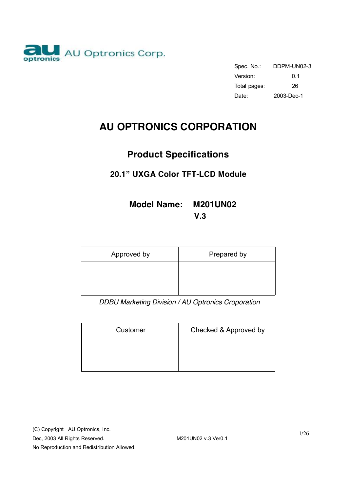

Spec. No.: DDPM-UN02-3 Version: 0.1 Total pages: 26 Date: 2003-Dec-1

# **AU OPTRONICS CORPORATION**

# **Product Specifications**

# **20.1" UXGA Color TFT-LCD Module**

# **Model Name: M201UN02 V.3**

| Approved by | Prepared by |
|-------------|-------------|
|             |             |
|             |             |

*DDBU Marketing Division / AU Optronics Croporation* 

| Customer | Checked & Approved by |
|----------|-----------------------|
|          |                       |
|          |                       |

(C) Copyright AU Optronics, Inc.

Dec, 2003 All Rights Reserved. M201UN02 v.3 Ver0.1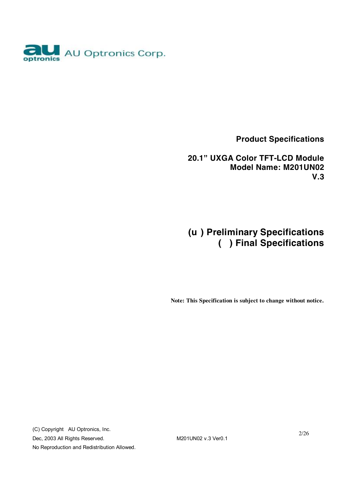

 **Product Specifications** 

**20.1" UXGA Color TFT-LCD Module Model Name: M201UN02 V.3** 

**(u ) Preliminary Specifications ( ) Final Specifications** 

 **Note: This Specification is subject to change without notice.**

(C) Copyright AU Optronics, Inc. Dec, 2003 All Rights Reserved. M201UN02 v.3 Ver0.1 No Reproduction and Redistribution Allowed.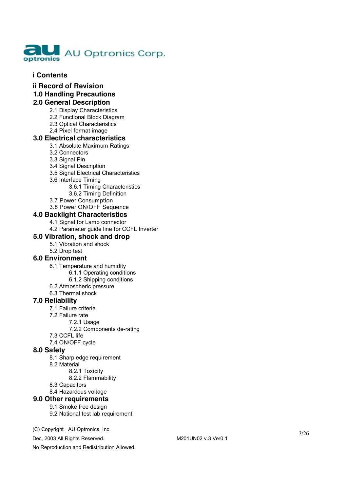

#### **i Contents**

**ii Record of Revision** 

#### **1.0 Handling Precautions**

# **2 . 0 G ener a l De script i on**

- 2.1 Display Characteristics
- 2.2 Functional Block Diagram
- 2.3 Optical Characteristics
- 2.4 Pixel format image

#### **3 . 0 Ele c t r i c a l ch ara c t e ris tic s**

- 3.1 Abso l u t e M a x i m um Ratings
- 3.2 Co nne ctors
- 3.3 S ignal P in
- 3.4 Signal Description
- 3.5 Signal Electrical Characteristics
- 3.6 Inte rf a c e Timing
	- 3.6.1 Timing Characteristics
	- 3 . 6 . 2 Timing D efi nition
- 3.7 Power Consumption
- 3 . 8 P o w e r O N /OFF S equ e n ce

#### **4 . 0 B ackl i g h t Cha racte r i s tics**

- 4.1 Signal for Lamp connector
- 4.2 Parameter guide line for CCFL Inverter

#### **5 . 0 Vib rat i o n , sho ck and dr op**

- 5.1 Vibration and shock
- 5.2 Dr o p te st

#### **6.0 Environment**

- 6.1 Temperature and humidity
	- 6 . 1 . 1 O p e rat i n g co n ditions
	- 6.1.2 Shipping conditions
- 6.2 Atmospheric pressure
- 6.3 Thermal shock

#### **7 . 0 R e liabil ity**

- 7.1 Failure criteria
- 7.2 Failure rate
	- 7 . 2 . 1 U s a ge
		- 7.2.2 Components de-rating
- 7.3 CCFL life
- 7.4 ON/OFF cycle

#### **8 . 0 S a f e ty**

- 8.1 Sharp edge requirement
- 8.2 Mat
	- erial<br>8.2.1 Toxicity
		- 8.2.2 Flammability
- 8.3 Capacitors
- 8.4 Hazardous voltage

#### **9 . 0 Othe r requi r e ments**

#### 9.1 S m o k e f r ee design

9.2 National test lab requirement

#### (C) Copyright AU Optronics, Inc.

Dec, 2003 All Rights Reserved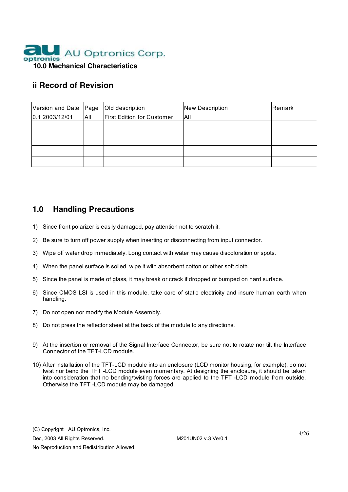

# **ii Record of Revision**

| Version and Date Page |     | Old description                   | <b>New Description</b> | Remark |
|-----------------------|-----|-----------------------------------|------------------------|--------|
| 0.12003/12/01         | All | <b>First Edition for Customer</b> | All                    |        |
|                       |     |                                   |                        |        |
|                       |     |                                   |                        |        |
|                       |     |                                   |                        |        |
|                       |     |                                   |                        |        |
|                       |     |                                   |                        |        |

# **1.0 Handling Precautions**

- 1) Since front polarizer is easily damaged, pay attention not to scratch it.
- 2) Be sure to turn off power supply when inserting or disconnecting from input connector.
- 3) Wipe off water drop immediately. Long contact with water may cause discoloration or spots.
- 4) When the panel surface is soiled, wipe it with absorbent cotton or other soft cloth.
- 5) Since the panel is made of glass, it may break or crack if dropped or bumped on hard surface.
- 6) Since CMOS LSI is used in this module, take care of static electricity and insure human earth when handling.
- 7) Do not open nor modify the Module Assembly.
- 8) Do not press the reflector sheet at the back of the module to any directions.
- 9) At the insertion or removal of the Signal Interface Connector, be sure not to rotate nor tilt the Interface Connector of the TFT-LCD module
- 10) After installation of the TFT-LCD module into an enclosure (LCD monitor housing, for example), do not twist nor bend the TFT -LCD module even momentary. At designing the enclosure, it should be taken into consideration that no bending/twisting forces are applied to the TFT -LCD module from outside. Otherwise the TFT -LCD module may be damaged.

(C) Copyright AU Optronics, Inc.

Dec, 2003 All Rights Reserved. M201UN02 v.3 Ver0.1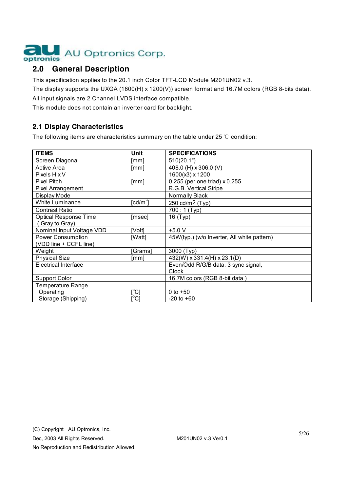

# **2.0 General Description**

This specification applies to the 20.1 inch Color TFT-LCD Module M201UN02 v.3.

The display supports the UXGA (1600(H) x 1200(V)) screen format and 16.7M colors (RGB 8-bits data).

All input signals are 2 Channel LVDS interface compatible.

This module does not contain an inverter card for backlight.

# **2.1 Display Characteristics**

The following items are characteristics summary on the table under 25 ℃ condition:

| <b>ITEMS</b>                 | Unit                                | <b>SPECIFICATIONS</b>                       |
|------------------------------|-------------------------------------|---------------------------------------------|
| Screen Diagonal              | [mm]                                | 510(20.1")                                  |
| <b>Active Area</b>           | [mm]                                | 408.0 (H) x 306.0 (V)                       |
| Pixels H x V                 |                                     | 1600(x3) x 1200                             |
| <b>Pixel Pitch</b>           | [mm]                                | 0.255 (per one triad) x 0.255               |
| <b>Pixel Arrangement</b>     |                                     | R.G.B. Vertical Stripe                      |
| Display Mode                 |                                     | Normally Black                              |
| White Luminance              | $\lceil$ cd/m <sup>2</sup> $\rceil$ | 250 cd/m2 (Typ)                             |
| <b>Contrast Ratio</b>        |                                     | $700:1$ (Typ)                               |
| <b>Optical Response Time</b> | [msec]                              | 16 (Typ)                                    |
| Gray to Gray)                |                                     |                                             |
| Nominal Input Voltage VDD    | [Volt]                              | $+5.0 V$                                    |
| Power Consumption            | [Watt]                              | 45W(typ.) (w/o Inverter, All white pattern) |
| (VDD line + CCFL line)       |                                     |                                             |
| Weight                       | [Grams]                             | 3000 (Typ)                                  |
| <b>Physical Size</b>         | [mm]                                | 432(W) x 331.4(H) x 23.1(D)                 |
| <b>Electrical Interface</b>  |                                     | Even/Odd R/G/B data, 3 sync signal,         |
|                              |                                     | <b>Clock</b>                                |
| <b>Support Color</b>         |                                     | 16.7M colors (RGB 8-bit data)               |
| <b>Temperature Range</b>     |                                     |                                             |
| Operating                    | $\mathsf{I}^\circ\mathsf{C}$        | 0 to $+50$                                  |
| Storage (Shipping)           | [°C]                                | $-20$ to $+60$                              |

Dec, 2003 All Rights Reserved. M201UN02 v.3 Ver0.1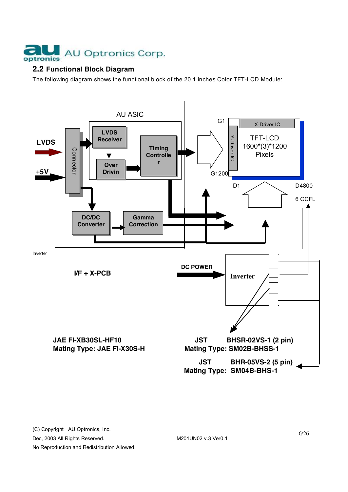

# **2.2 Functional Block Diagram**

The following diagram shows the functional block of the 20.1 inches Color TFT-LCD Module:



Dec, 2003 All Rights Reserved. M201UN02 v.3 Ver0.1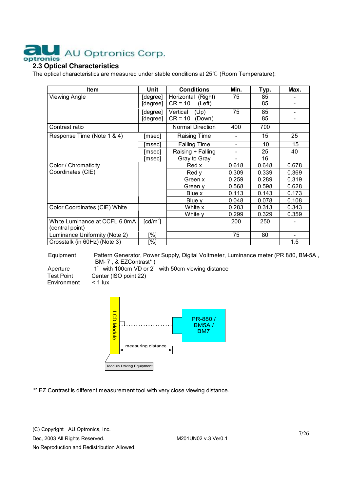# AU Optronics Corp. tronics

# **2.3 Optical Characteristics**

The optical characteristics are measured under stable conditions at 25℃ (Room Temperature):

| <b>Item</b>                   | Unit       | <b>Conditions</b>   | Min.  | Typ.  | Max.                         |
|-------------------------------|------------|---------------------|-------|-------|------------------------------|
| Viewing Angle                 | [degree]   | Horizontal (Right)  | 75    | 85    |                              |
|                               | [degree]   | $CR = 10$<br>(Left) |       | 85    |                              |
|                               | [degree]   | Vertical<br>(Up)    | 75    | 85    | -                            |
|                               | [degree]   | $CR = 10$<br>(Down) |       | 85    |                              |
| Contrast ratio                |            | Normal Direction    | 400   | 700   |                              |
| Response Time (Note 1 & 4)    | [msec]     | <b>Raising Time</b> |       | 15    | 25                           |
|                               | [msec]     | <b>Falling Time</b> |       | 10    | 15                           |
|                               | [msec]     | Raising + Falling   |       | 25    | 40                           |
|                               | [msec]     | Gray to Gray        |       | 16    |                              |
| Color / Chromaticity          |            | Red x               | 0.618 | 0.648 | 0.678                        |
| Coordinates (CIE)             |            | Red v               | 0.309 | 0.339 | 0.369                        |
|                               |            | Green x             | 0.259 | 0.289 | 0.319                        |
|                               |            | Green v             | 0.568 | 0.598 | 0.628                        |
|                               |            | Blue x              | 0.113 | 0.143 | 0.173                        |
|                               |            | Blue y              | 0.048 | 0.078 | 0.108                        |
| Color Coordinates (CIE) White |            | White x             | 0.283 | 0.313 | 0.343                        |
|                               |            | White v             | 0.299 | 0.329 | 0.359                        |
| White Luminance at CCFL 6.0mA | $[cd/m^2]$ |                     | 200   | 250   |                              |
| (central point)               |            |                     |       |       |                              |
| Luminance Uniformity (Note 2) | [%]        |                     | 75    | 80    | $\qquad \qquad \blacksquare$ |
| Crosstalk (in 60Hz) (Note 3)  | [%]        |                     |       |       | 1.5                          |

Equipment Pattern Generator, Power Supply, Digital Voltmeter, Luminance meter (PR 880, BM-5A , BM- 7 , & EZContrast\* ) Aperture 1° with 100cm VD or 2° with 50cm viewing distance

Environment

Test Point Center (ISO point 22)<br>Environment < 1 lux



'\*' EZ Contrast is different measurement tool with very close viewing distance.

(C) Copyright AU Optronics, Inc.

Dec, 2003 All Rights Reserved. M201UN02 v.3 Ver0.1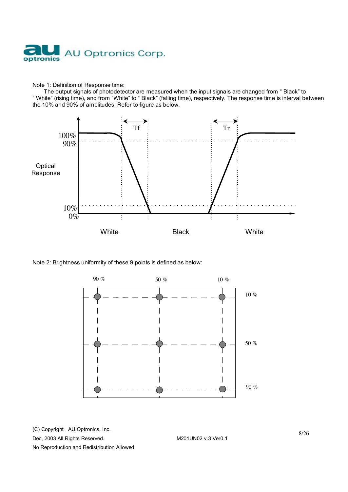

#### Note 1: Definition of Response time:

The output signals of photodetector are measured when the input signals are changed from " Black" to " White" (rising time), and from "White" to " Black" (falling time), respectively. The response time is interval between the 10% and 90% of amplitudes. Refer to figure as below.



#### Note 2: Brightness uniformity of these 9 points is defined as below:



(C) Copyright AU Optronics, Inc. Dec, 2003 All Rights Reserved. M201UN02 v.3 Ver0.1 No Reproduction and Redistribution Allowed.

8/26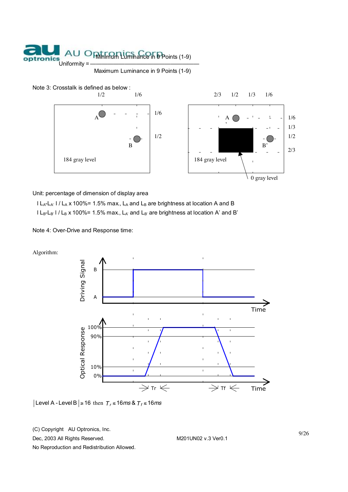

Maximum Luminance in 9 Points (1-9)





Unit: percentage of dimension of display area

 $l L_A-L_A$ '  $l / L_A$  x 100%= 1.5% max.,  $L_A$  and  $L_B$  are brightness at location A and B  $l L_B-L_B$ '  $l / L_B$  x 100%= 1.5% max.,  $L_A$ ' and  $L_B$ ' are brightness at location A' and B'

Note 4: Over-Drive and Response time:

Algorithm:



Level A - Level B  $\ge$  16 then  $T_f$  ≤ 16*ms* &  $T_f$  ≤ 16*ms* 

(C) Copyright AU Optronics, Inc.

Dec, 2003 All Rights Reserved. M201UN02 v.3 Ver0.1

9/26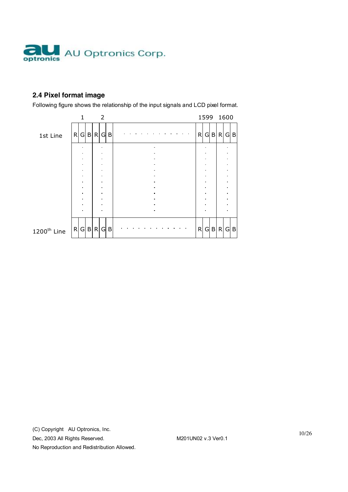

# **2.4 Pixel format image**

Following figure shows the relationship of the input signals and LCD pixel format.

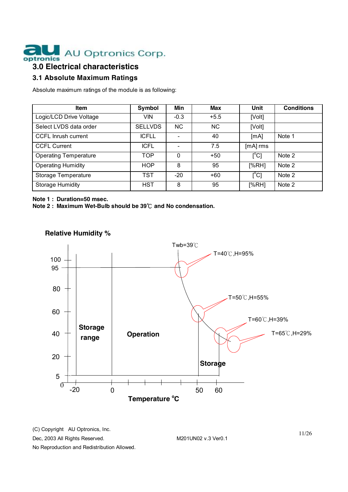

# **3.0 Electrical characteristics**

# **3.1 Absolute Maximum Ratings**

Absolute maximum ratings of the module is as following:

| <b>Item</b>                  | Symbol         | Min    | Max    | Unit                    | <b>Conditions</b> |
|------------------------------|----------------|--------|--------|-------------------------|-------------------|
| Logic/LCD Drive Voltage      | <b>VIN</b>     | $-0.3$ | $+5.5$ | [Volt]                  |                   |
| Select LVDS data order       | <b>SELLVDS</b> | ΝC     | NC.    | [Volt]                  |                   |
| <b>CCFL Inrush current</b>   | <b>ICFLL</b>   |        | 40     | [mA]                    | Note 1            |
| <b>CCFL Current</b>          | <b>ICFL</b>    |        | 7.5    | [mA] rms                |                   |
| <b>Operating Temperature</b> | TOP            | 0      | $+50$  | $\mathsf{I}^{\circ}$ Cl | Note 2            |
| <b>Operating Humidity</b>    | <b>HOP</b>     | 8      | 95     | [%RH]                   | Note 2            |
| Storage Temperature          | <b>TST</b>     | $-20$  | $+60$  | $[^{\circ}C]$           | Note 2            |
| Storage Humidity             | <b>HST</b>     | 8      | 95     | [%RH]                   | Note 2            |

#### **Note 1 : Duration=50 msec.**

**Note 2 : Maximum Wet-Bulb should be 39**℃ **and No condensation.** 



#### **Relative Humidity %**

(C) Copyright AU Optronics, Inc.

Dec, 2003 All Rights Reserved. M201UN02 v.3 Ver0.1

11/26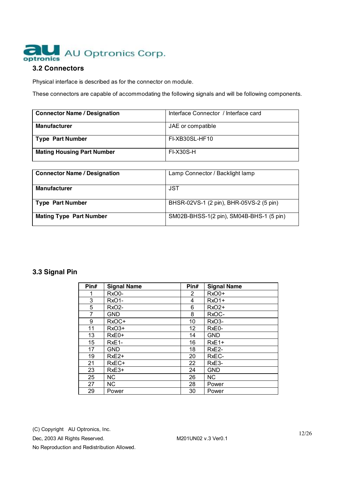

#### **3.2 Connectors**

Physical interface is described as for the connector on module.

These connectors are capable of accommodating the following signals and will be following components.

| <b>Connector Name / Designation</b> | Interface Connector / Interface card |
|-------------------------------------|--------------------------------------|
| <b>Manufacturer</b>                 | JAE or compatible                    |
| <b>Type Part Number</b>             | FI-XB30SL-HF10                       |
| <b>Mating Housing Part Number</b>   | FI-X30S-H                            |

| <b>Connector Name / Designation</b> | Lamp Connector / Backlight lamp          |
|-------------------------------------|------------------------------------------|
| <b>Manufacturer</b>                 | JST                                      |
| <b>Type Part Number</b>             | BHSR-02VS-1 (2 pin), BHR-05VS-2 (5 pin)  |
| <b>Mating Type Part Number</b>      | SM02B-BHSS-1(2 pin), SM04B-BHS-1 (5 pin) |

# **3.3 Signal Pin**

| Pin# | <b>Signal Name</b> | Pin#                  | <b>Signal Name</b> |
|------|--------------------|-----------------------|--------------------|
|      | RxO0-              | $\mathbf{2}^{\prime}$ | RxO0+              |
| 3    | RxO1-              | 4                     | RxO1+              |
| 5    | <b>RxO2-</b>       | 6                     | RxO2+              |
| 7    | <b>GND</b>         | 8                     | RxOC-              |
| 9    | RxOC+              | 10                    | RxO <sub>3</sub> - |
| 11   | RxO3+              | 12                    | RxE0-              |
| 13   | $RxE0+$            | 14                    | <b>GND</b>         |
| 15   | RxE1-              | 16                    | RxE1+              |
| 17   | <b>GND</b>         | 18                    | RxE <sub>2</sub> - |
| 19   | $RxE2+$            | 20                    | RxEC-              |
| 21   | RxEC+              | 22                    | RxE <sub>3</sub> - |
| 23   | $RxE3+$            | 24                    | <b>GND</b>         |
| 25   | <b>NC</b>          | 26                    | <b>NC</b>          |
| 27   | NC.                | 28                    | Power              |
| 29   | Power              | 30                    | Power              |

(C) Copyright AU Optronics, Inc.

Dec, 2003 All Rights Reserved. M201UN02 v.3 Ver0.1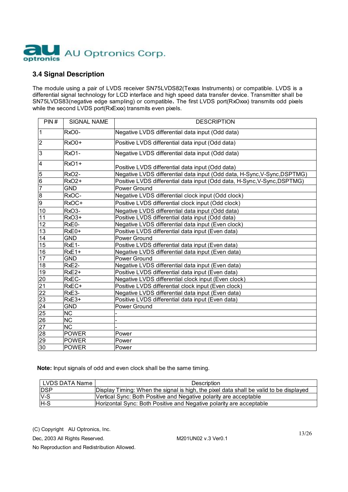

## **3.4 Signal Description**

The module using a pair of LVDS receiver SN75LVDS82(Texas Instruments) or compatible. LVDS is a differential signal technology for LCD interface and high speed data transfer device. Transmitter shall be SN75LVDS83(negative edge sampling) or compatible**.** The first LVDS port(RxOxxx) transmits odd pixels while the second LVDS port(RxExxx) transmits even pixels.

| PIN#            | <b>SIGNAL NAME</b>     | <b>DESCRIPTION</b>                                                       |
|-----------------|------------------------|--------------------------------------------------------------------------|
| 1               | RxO0-                  | Negative LVDS differential data input (Odd data)                         |
| $\overline{2}$  | RxO0+                  | Positive LVDS differential data input (Odd data)                         |
| 3               | <b>RxO1-</b>           | Negative LVDS differential data input (Odd data)                         |
| 4               | <b>RxO1+</b>           | Positive LVDS differential data input (Odd data)                         |
| 5               | RxO <sub>2</sub> -     | Negative LVDS differential data input (Odd data, H-Sync, V-Sync, DSPTMG) |
| 6               | RxO <sub>2+</sub>      | Positive LVDS differential data input (Odd data, H-Sync, V-Sync, DSPTMG) |
| 7               | <b>GND</b>             | Power Ground                                                             |
| 8               | RxOC-                  | Negative LVDS differential clock input (Odd clock)                       |
| 9               | RxOC+                  | Positive LVDS differential clock input (Odd clock)                       |
| 10              | RxO <sub>3</sub> -     | Negative LVDS differential data input (Odd data)                         |
| 11              | RxO3+                  | Positive LVDS differential data input (Odd data)                         |
| $\overline{12}$ | RxE0-                  | Negative LVDS differential data input (Even clock)                       |
| 13              | RxE0+                  | Positive LVDS differential data input (Even data)                        |
| 14              | <b>GND</b>             | Power Ground                                                             |
| 15              | $RxE1-$                | Positive LVDS differential data input (Even data)                        |
| $\overline{16}$ | $RxE1+$                | Negative LVDS differential data input (Even data)                        |
| $\overline{17}$ | <b>GND</b>             | Power Ground                                                             |
| 18              | RxE <sub>2</sub> -     | Negative LVDS differential data input (Even data)                        |
| 19              | RxE <sub>2+</sub>      | Positive LVDS differential data input (Even data)                        |
| 20              | RxEC-                  | Negative LVDS differential clock input (Even clock)                      |
| 21              | RxEC+                  | Positive LVDS differential clock input (Even clock)                      |
| $\overline{22}$ | RxE3-                  | Negative LVDS differential data input (Even data)                        |
| 23              | RxE3+                  | Positive LVDS differential data input (Even data)                        |
| $\overline{24}$ | <b>GND</b>             | Power Ground                                                             |
| 25              | <b>NC</b>              |                                                                          |
| $\overline{26}$ | $\overline{\text{NC}}$ |                                                                          |
| $\overline{27}$ | <b>NC</b>              |                                                                          |
| $\overline{28}$ | <b>POWER</b>           | Power                                                                    |
| $\overline{29}$ | <b>POWER</b>           | Power                                                                    |
| 30              | <b>POWER</b>           | Power                                                                    |

 **Note:** Input signals of odd and even clock shall be the same timing.

| LVDS DATA Name | Description                                                                            |
|----------------|----------------------------------------------------------------------------------------|
| <b>IDSP</b>    | Display Timing: When the signal is high, the pixel data shall be valid to be displayed |
| $V-S$          | Vertical Sync: Both Positive and Negative polarity are acceptable                      |
| $H-S$          | Horizontal Sync: Both Positive and Negative polarity are acceptable                    |

(C) Copyright AU Optronics, Inc.

Dec, 2003 All Rights Reserved. M201UN02 v.3 Ver0.1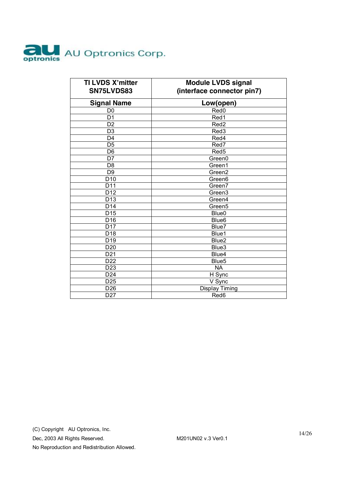

| TI LVDS X'mitter<br>SN75LVDS83 | <b>Module LVDS signal</b><br>(interface connector pin7) |
|--------------------------------|---------------------------------------------------------|
| <b>Signal Name</b>             | Low(open)                                               |
| D <sub>0</sub>                 | Red <sub>0</sub>                                        |
| D <sub>1</sub>                 | Red1                                                    |
| D <sub>2</sub>                 | Red <sub>2</sub>                                        |
| D <sub>3</sub>                 | Red3                                                    |
| D4                             | Red4                                                    |
| D <sub>5</sub>                 | Red7                                                    |
| D <sub>6</sub>                 | Red <sub>5</sub>                                        |
| D7                             | Green0                                                  |
| D <sub>8</sub>                 | Green1                                                  |
| D <sub>9</sub>                 | Green <sub>2</sub>                                      |
| D <sub>10</sub>                | Green <sub>6</sub>                                      |
| D11                            | Green7                                                  |
| D <sub>12</sub>                | Green <sub>3</sub>                                      |
| D <sub>13</sub>                | Green4                                                  |
| D <sub>14</sub>                | Green <sub>5</sub>                                      |
| D15                            | Blue0                                                   |
| D <sub>16</sub>                | Blue <sub>6</sub>                                       |
| D <sub>17</sub>                | Blue7                                                   |
| D <sub>18</sub>                | Blue1                                                   |
| $\overline{D19}$               | Blue <sub>2</sub>                                       |
| D <sub>20</sub>                | Blue3                                                   |
| $\overline{D21}$               | Blue4                                                   |
| D <sub>22</sub>                | Blue <sub>5</sub>                                       |
| D <sub>23</sub>                | <b>NA</b>                                               |
| D24                            | H Sync                                                  |
| D <sub>25</sub>                | V Sync                                                  |
| D <sub>26</sub>                | <b>Display Timing</b>                                   |
| D <sub>27</sub>                | Red6                                                    |

Dec, 2003 All Rights Reserved. M201UN02 v.3 Ver0.1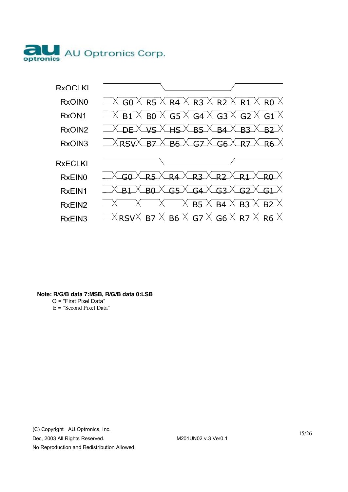



#### **Note: R/G/B data 7:MSB, R/G/B data 0:LSB**

O = "First Pixel Data"  $E =$  "Second Pixel Data"

(C) Copyright AU Optronics, Inc.

Dec, 2003 All Rights Reserved. M201UN02 v.3 Ver0.1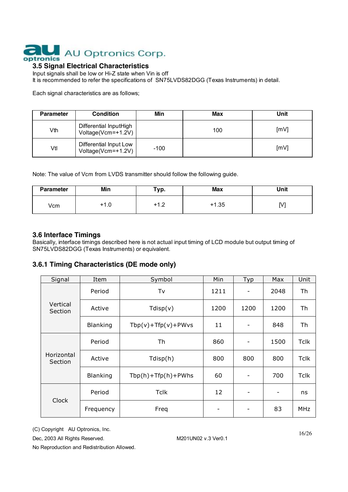

# **3.5 Signal Electrical Characteristics**

Input signals shall be low or Hi-Z state when Vin is off It is recommended to refer the specifications of SN75LVDS82DGG (Texas Instruments) in detail.

Each signal characteristics are as follows;

| <b>Parameter</b> | <b>Condition</b>                             | Min    | Max | Unit |
|------------------|----------------------------------------------|--------|-----|------|
| Vth              | Differential InputHigh<br>Voltage(Vcm=+1.2V) |        | 100 | [mV] |
| Vtl              | Differential Input Low<br>Voltage(Vcm=+1.2V) | $-100$ |     | [mV] |

Note: The value of Vcm from LVDS transmitter should follow the following guide.

| <b>Parameter</b> | Min                  | Тур.                     | <b>Max</b> | Unit |
|------------------|----------------------|--------------------------|------------|------|
| Vcm              | $\cdot$ 1.0<br>$+^7$ | $\sim$<br>$\overline{1}$ | 1.35       | M    |

#### **3.6 Interface Timings**

Basically, interface timings described here is not actual input timing of LCD module but output timing of SN75LVDS82DGG (Texas Instruments) or equivalent.

#### **3.6.1 Timing Characteristics (DE mode only)**

| Signal                | Item            | Symbol                   | Min  | <b>Typ</b>                   | Max                          | Unit        |
|-----------------------|-----------------|--------------------------|------|------------------------------|------------------------------|-------------|
| Vertical<br>Section   | Period          | Tv                       | 1211 | $\overline{\phantom{a}}$     | 2048                         | Th          |
|                       | Active          | Tdisp(v)                 | 1200 | 1200                         | 1200                         | Th          |
|                       | <b>Blanking</b> | $Tbp(v) + Tfp(v) + PWvs$ | 11   | $\overline{\phantom{a}}$     | 848                          | Th          |
| Horizontal<br>Section | Period          | Th                       | 860  | $\qquad \qquad \blacksquare$ | 1500                         | <b>Tclk</b> |
|                       | Active          | Tdisp(h)                 | 800  | 800                          | 800                          | <b>Tclk</b> |
|                       | <b>Blanking</b> | $Tbp(h) + Tfp(h) + PWhs$ | 60   | -                            | 700                          | <b>Tclk</b> |
| <b>Clock</b>          | Period          | <b>Tclk</b>              | 12   | $\overline{\phantom{a}}$     | $\qquad \qquad \blacksquare$ | ns          |
|                       | Frequency       | Freq                     |      | -                            | 83                           | MHz         |

(C) Copyright AU Optronics, Inc.

Dec, 2003 All Rights Reserved. M201UN02 v.3 Ver0.1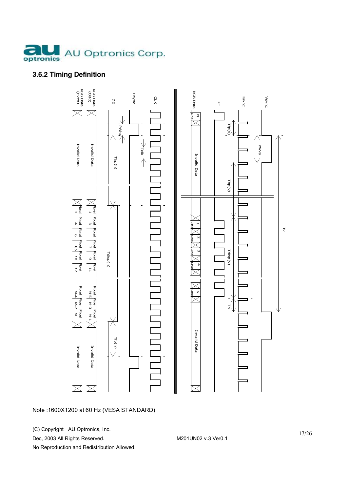

# **3.6.2 Timing Definition**



#### Note :1600X1200 at 60 Hz (VESA STANDARD)

(C) Copyright AU Optronics, Inc.

Dec, 2003 All Rights Reserved. M201UN02 v.3 Ver0.1

No Reproduction and Redistribution Allowed.

17/26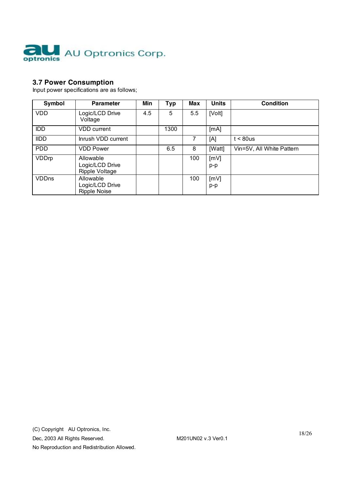

# **3.7 Power Consumption**

Input power specifications are as follows;

| Symbol       | <b>Parameter</b>                                      | Min | <b>Typ</b> | Max | <b>Units</b>  | <b>Condition</b>          |
|--------------|-------------------------------------------------------|-----|------------|-----|---------------|---------------------------|
| <b>VDD</b>   | Logic/LCD Drive<br>Voltage                            | 4.5 | 5          | 5.5 | [Volt]        |                           |
| <b>IDD</b>   | <b>VDD</b> current                                    |     | 1300       |     | [mA]          |                           |
| <b>IIDD</b>  | Inrush VDD current                                    |     |            | 7   | [A]           | $t < 80$ us               |
| <b>PDD</b>   | <b>VDD Power</b>                                      |     | 6.5        | 8   | [Watt]        | Vin=5V, All White Pattern |
| VDDrp        | Allowable<br>Logic/LCD Drive<br><b>Ripple Voltage</b> |     |            | 100 | [mV]<br>$p-p$ |                           |
| <b>VDDns</b> | Allowable<br>Logic/LCD Drive<br><b>Ripple Noise</b>   |     |            | 100 | [MV]<br>p-p   |                           |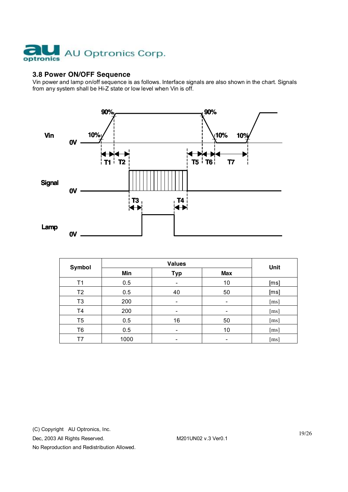

#### **3.8 Power ON/OFF Sequence**

Vin power and lamp on/off sequence is as follows. Interface signals are also shown in the chart. Signals from any system shall be Hi-Z state or low level when Vin is off.



| <b>Symbol</b>  |      | Unit       |            |                    |
|----------------|------|------------|------------|--------------------|
|                | Min  | <b>Typ</b> | <b>Max</b> |                    |
| Τ1             | 0.5  |            | 10         | [ms]               |
| T <sub>2</sub> | 0.5  | 40         | 50         | [ms]               |
| T <sub>3</sub> | 200  | -          | -          | [ms]               |
| T <sub>4</sub> | 200  | -          | -          | [ms]               |
| T <sub>5</sub> | 0.5  | 16         | 50         | [ms]               |
| T <sub>6</sub> | 0.5  |            | 10         | [ms]               |
| Τ7             | 1000 |            | -          | $\lceil ms \rceil$ |

(C) Copyright AU Optronics, Inc.

Dec, 2003 All Rights Reserved. M201UN02 v.3 Ver0.1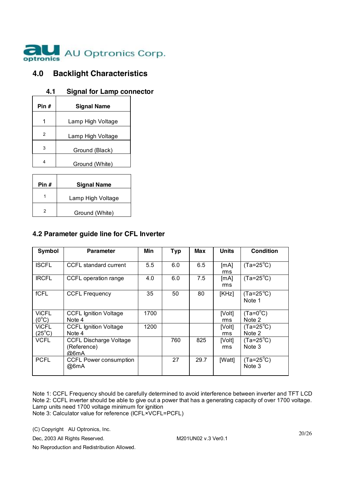

# **4.0 Backlight Characteristics**

## **4.1 Signal for Lamp connector**

| Pin # | <b>Signal Name</b> |
|-------|--------------------|
|       | Lamp High Voltage  |
| 2     | Lamp High Voltage  |
| 3     | Ground (Black)     |
|       | Ground (White)     |
|       |                    |

| Pin # | <b>Signal Name</b> |
|-------|--------------------|
|       | Lamp High Voltage  |
| 2     | Ground (White)     |

### **4.2 Parameter guide line for CFL Inverter**

| Symbol                         | <b>Parameter</b>                                     | Min  | <b>Typ</b> | Max  | Units         | <b>Condition</b>             |
|--------------------------------|------------------------------------------------------|------|------------|------|---------------|------------------------------|
| <b>ISCFL</b>                   | CCFL standard current                                | 5.5  | 6.0        | 6.5  | [mA]<br>rms   | $(Ta=25^{\circ}C)$           |
| <b>IRCFL</b>                   | CCFL operation range                                 | 4.0  | 6.0        | 7.5  | [mA]<br>rms   | $(Ta=25^{\circ}C)$           |
| <b>fCFL</b>                    | <b>CCFL Frequency</b>                                | 35   | 50         | 80   | [KHz]         | $(Ta=25^{\circ}C)$<br>Note 1 |
| <b>VICFL</b><br>$(0^{\circ}C)$ | <b>CCFL Ignition Voltage</b><br>Note 4               | 1700 |            |      | [Volt]<br>rms | $(Ta=0^{\circ}C)$<br>Note 2  |
| ViCFL<br>$(25^{\circ}C)$       | <b>CCFL Ignition Voltage</b><br>Note 4               | 1200 |            |      | [Volt]<br>rms | $(Ta=25^{\circ}C)$<br>Note 2 |
| VCFL                           | <b>CCFL Discharge Voltage</b><br>(Reference)<br>@6mA |      | 760        | 825  | [Volt]<br>rms | $(Ta=25^{\circ}C)$<br>Note 3 |
| <b>PCFL</b>                    | <b>CCFL Power consumption</b><br>@6mA                |      | 27         | 29.7 | [Watt]        | $(Ta=25^{\circ}C)$<br>Note 3 |

Note 1: CCFL Frequency should be carefully determined to avoid interference between inverter and TFT LCD Note 2: CCFL inverter should be able to give out a power that has a generating capacity of over 1700 voltage. Lamp units need 1700 voltage minimum for ignition Note 3: Calculator value for reference (ICFL×VCFL=PCFL)

(C) Copyright AU Optronics, Inc.

Dec, 2003 All Rights Reserved. M201UN02 v.3 Ver0.1

20/26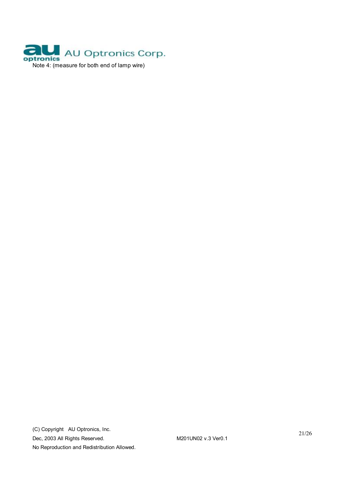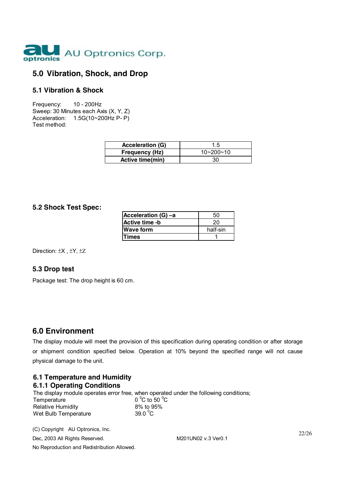

# **5.0 Vibration, Shock, and Drop**

#### **5.1 Vibration & Shock**

Frequency: 10 - 200Hz Sweep: 30 Minutes each Axis (X, Y, Z) Acceleration: 1.5G(10~200Hz P- P) Test method:

| <b>Acceleration (G)</b> | 1.5             |
|-------------------------|-----------------|
| <b>Frequency (Hz)</b>   | $10 - 200 - 10$ |
| Active time(min)        | 30              |

#### **5.2 Shock Test Spec:**

| Acceleration (G) -a | 50       |
|---------------------|----------|
| Active time -b      | 20       |
| <b>Wave form</b>    | half-sin |
| <b>Times</b>        |          |

Direction: ±X , ±Y, ±Z

#### **5.3 Drop test**

Package test: The drop height is 60 cm.

# **6.0 Environment**

The display module will meet the provision of this specification during operating condition or after storage or shipment condition specified below. Operation at 10% beyond the specified range will not cause physical damage to the unit.

#### **6.1 Temperature and Humidity 6.1.1 Operating Conditions**

The display module operates error free, when operated under the following conditions; Temperature 0 °C to 50 °C to 50 °C to 50 °C to 50 °C to 50 °C to 50 °C to 50 °C to 50 °C to 95% C to 50 $\degree$ C **Relative Humidity** Wet Bulb Temperature 39.0 $\degree$ C

(C) Copyright AU Optronics, Inc. Dec, 2003 All Rights Reserved. M201UN02 v.3 Ver0.1 No Reproduction and Redistribution Allowed.

22/26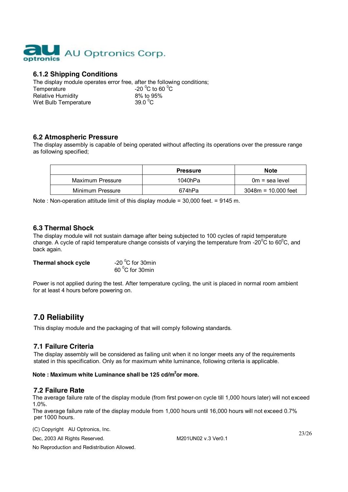

## **6.1.2 Shipping Conditions**

The display module operates error free, after the following conditions; Temperature -20 °C to 60<br>Relative Humidity -20 °C to 95% C to 60  $^{\circ}$ C **Relative Humidity** Wet Bulb Temperature 39.0 $\mathrm{^0C}$ 

#### **6.2 Atmospheric Pressure**

The display assembly is capable of being operated without affecting its operations over the pressure range as following specified;

|                  | <b>Pressure</b> | <b>Note</b>           |
|------------------|-----------------|-----------------------|
| Maximum Pressure | 1040hPa         | $0m =$ sea level      |
| Minimum Pressure | 674hPa          | $3048m = 10.000$ feet |

Note : Non-operation attitude limit of this display module = 30,000 feet. = 9145 m.

#### **6.3 Thermal Shock**

The display module will not sustain damage after being subjected to 100 cycles of rapid temperature change. A cycle of rapid temperature change consists of varying the temperature from -20 $\rm ^{0}C$  to 60 $\rm ^{0}C$ , and back again.

| <b>Thermal shock cycle</b> | -20 $\mathrm{^0C}$ for 30min |
|----------------------------|------------------------------|
|                            | 60 °C for 30min              |

Power is not applied during the test. After temperature cycling, the unit is placed in normal room ambient for at least 4 hours before powering on.

# **7.0 Reliability**

This display module and the packaging of that will comply following standards.

#### **7.1 Failure Criteria**

The display assembly will be considered as failing unit when it no longer meets any of the requirements stated in this specification. Only as for maximum white luminance, following criteria is applicable.

#### **Note : Maximum white Luminance shall be 125 cd/m2 or more.**

#### **7.2 Failure Rate**

The average failure rate of the display module (from first power-on cycle till 1,000 hours later) will not exceed 1.0%.

The average failure rate of the display module from 1,000 hours until 16,000 hours will not exceed 0.7% per 1000 hours.

(C) Copyright AU Optronics, Inc.

Dec, 2003 All Rights Reserved. M201UN02 v.3 Ver0.1

23/26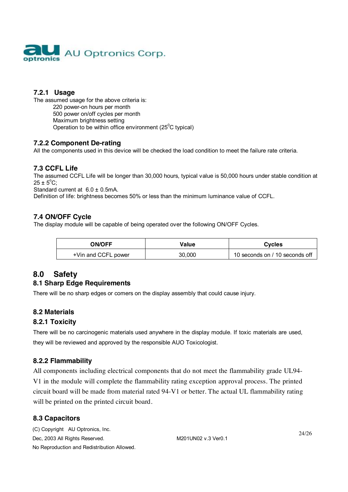

# **7.2.1 Usage**

The assumed usage for the above criteria is: 220 power-on hours per month 500 power on/off cycles per month Maximum brightness setting Operation to be within office environment ( $25^{\circ}$ C typical)

### **7.2.2 Component De-rating**

All the components used in this device will be checked the load condition to meet the failure rate criteria.

## **7.3 CCFL Life**

The assumed CCFL Life will be longer than 30,000 hours, typical value is 50,000 hours under stable condition at  $25 \pm 5^{\circ}$ C;

Standard current at 6.0 ± 0.5mA.

Definition of life: brightness becomes 50% or less than the minimum luminance value of CCFL.

## **7.4 ON/OFF Cycle**

The display module will be capable of being operated over the following ON/OFF Cycles.

| <b>ON/OFF</b>       | Value  | <b>Cycles</b>                  |
|---------------------|--------|--------------------------------|
| +Vin and CCFL power | 30,000 | 10 seconds on / 10 seconds off |

# **8.0 Safety**

## **8.1 Sharp Edge Requirements**

There will be no sharp edges or comers on the display assembly that could cause injury.

## **8.2 Materials**

## **8.2.1 Toxicity**

There will be no carcinogenic materials used anywhere in the display module. If toxic materials are used, they will be reviewed and approved by the responsible AUO Toxicologist.

## **8.2.2 Flammability**

All components including electrical components that do not meet the flammability grade UL94- V1 in the module will complete the flammability rating exception approval process. The printed circuit board will be made from material rated 94-V1 or better. The actual UL flammability rating will be printed on the printed circuit board.

## **8.3 Capacitors**

(C) Copyright AU Optronics, Inc. Dec, 2003 All Rights Reserved. M201UN02 v.3 Ver0.1 No Reproduction and Redistribution Allowed.

24/26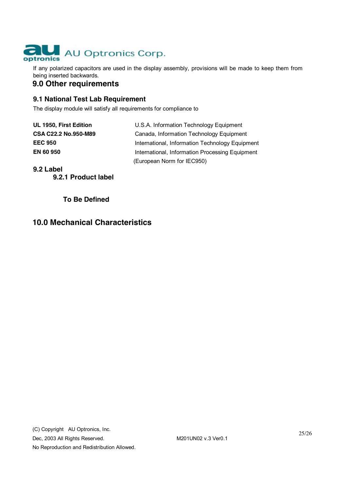

If any polarized capacitors are used in the display assembly, provisions will be made to keep them from being inserted backwards.

# **9.0 Other requirements**

## **9.1 National Test Lab Requirement**

The display module will satisfy all requirements for compliance to

| UL 1950, First Edition |  |
|------------------------|--|
| CSA C22.2 No.950-M89   |  |
| <b>EEC 950</b>         |  |
| EN 60 950              |  |

U.S.A. Information Technology Equipment **Canada, Information Technology Equipment International, Information Technology Equipment International, Information Processing Equipment** (European Norm for IEC950)

#### **9.2 Label**

**9.2.1 Product label** 

 **To Be Defined** 

# **10.0 Mechanical Characteristics**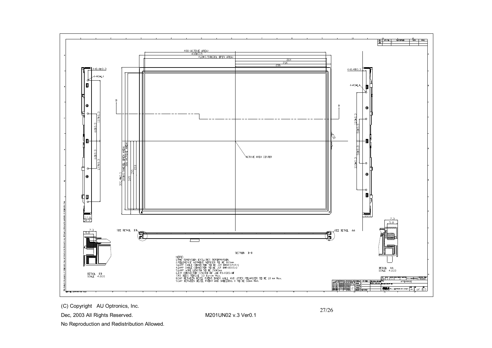

( C) Co p yright A U O ptronic s, I n c.

Dec, 2003 All Rights Reserved.

No Reproduction and Redistribution Allowed.

M201UN02 v.3 Ver0.1